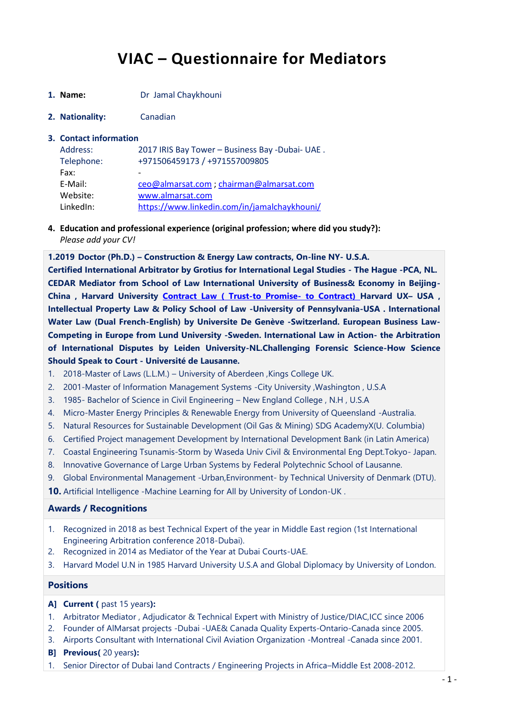# **VIAC – Questionnaire for Mediators**

- **1. Name:** Dr Jamal Chaykhouni
- **2. Nationality:** Canadian

#### **3. Contact information**

| Address:   | 2017 IRIS Bay Tower - Business Bay - Dubai- UAE. |
|------------|--------------------------------------------------|
| Telephone: | +971506459173 / +971557009805                    |
| Fax:       | $\overline{\phantom{a}}$                         |
| E-Mail:    | ceo@almarsat.com ; chairman@almarsat.com         |
| Website:   | www.almarsat.com                                 |
| LinkedIn:  | https://www.linkedin.com/in/jamalchaykhouni/     |

**4. Education and professional experience (original profession; where did you study?):** *Please add your CV!*

**1.2019 Doctor (Ph.D.) – Construction & Energy Law contracts, On-line NY- U.S.A. Certified International Arbitrator by Grotius for International Legal Studies - The Hague -PCA, NL. CEDAR Mediator from School of Law International University of Business& Economy in Beijing-China , Harvard University [Contract Law \( Trust-to Promise-](https://courses.edx.org/courses/course-v1:Harvardx+HLS2X+1T2019a/course/) to Contract) Harvard UX– USA , Intellectual Property Law & Policy School of Law -University of Pennsylvania-USA . International Water Law (Dual French-English) by Universite De Genève -Switzerland. European Business Law-Competing in Europe from Lund University -Sweden. International Law in Action- the Arbitration of International Disputes by Leiden University-NL.Challenging Forensic Science-How Science Should Speak to Court - Université de Lausanne.**

- 1. 2018-Master of Laws (L.L.M.) University of Aberdeen ,Kings College UK.
- 2. 2001-Master of Information Management Systems -City University ,Washington , U.S.A
- 3. 1985- Bachelor of Science in Civil Engineering New England College , N.H , U.S.A
- 4. Micro-Master Energy Principles & Renewable Energy from University of Queensland -Australia.
- 5. Natural Resources for Sustainable Development (Oil Gas & Mining) SDG AcademyX(U. Columbia)
- 6. Certified Project management Development by International Development Bank (in Latin America)
- 7. Coastal Engineering Tsunamis-Storm by Waseda Univ Civil & Environmental Eng Dept.Tokyo- Japan.
- 8. Innovative Governance of Large Urban Systems by Federal Polytechnic School of Lausanne.
- 9. Global Environmental Management -Urban,Environment- by Technical University of Denmark (DTU).

**10.** Artificial Intelligence -Machine Learning for All by University of London-UK .

### **Awards / Recognitions**

- 1. Recognized in 2018 as best Technical Expert of the year in Middle East region (1st International Engineering Arbitration conference 2018-Dubai).
- 2. Recognized in 2014 as Mediator of the Year at Dubai Courts-UAE.
- 3. Harvard Model U.N in 1985 Harvard University U.S.A and Global Diplomacy by University of London.

### **Positions**

- **A] Current (** past 15 years**):**
- 1. Arbitrator Mediator , Adjudicator & Technical Expert with Ministry of Justice/DIAC,ICC since 2006
- 2. Founder of AlMarsat projects -Dubai -UAE& Canada Quality Experts-Ontario-Canada since 2005.
- 3. Airports Consultant with International Civil Aviation Organization -Montreal -Canada since 2001.
- **B] Previous(** 20 years**):**
- 1. Senior Director of Dubai land Contracts / Engineering Projects in Africa–Middle Est 2008-2012.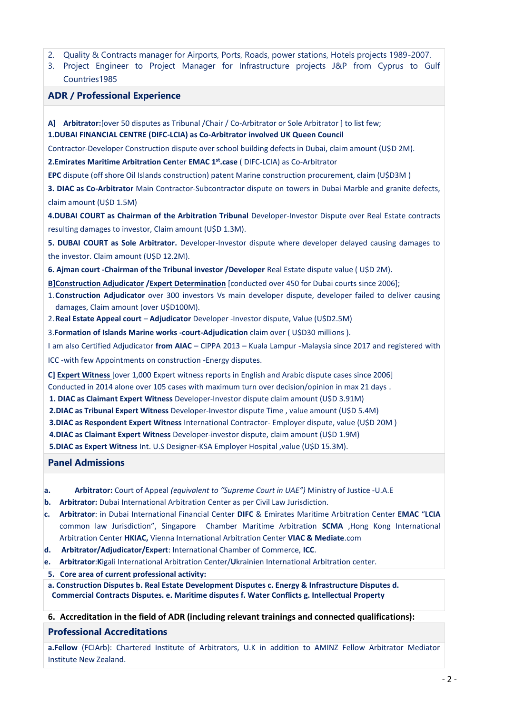- 2. Quality & Contracts manager for Airports, Ports, Roads, power stations, Hotels projects 1989-2007.
- 3. Project Engineer to Project Manager for Infrastructure projects J&P from Cyprus to Gulf Countries1985

### **ADR / Professional Experience**

**A] Arbitrator:**[over 50 disputes as Tribunal /Chair / Co-Arbitrator or Sole Arbitrator ] to list few; **1.DUBAI FINANCIAL CENTRE (DIFC-LCIA) as Co-Arbitrator involved UK Queen Council** 

Contractor-Developer Construction dispute over school building defects in Dubai, claim amount (U\$D 2M).

**2.Emirates Maritime Arbitration Cen**ter **EMAC 1st.case** ( DIFC-LCIA) as Co-Arbitrator

**EPC** dispute (off shore Oil Islands construction) patent Marine construction procurement, claim (U\$D3M )

**3. DIAC as Co-Arbitrator** Main Contractor-Subcontractor dispute on towers in Dubai Marble and granite defects, claim amount (U\$D 1.5M)

**4.DUBAI COURT as Chairman of the Arbitration Tribunal** Developer-Investor Dispute over Real Estate contracts resulting damages to investor, Claim amount (U\$D 1.3M).

**5. DUBAI COURT as Sole Arbitrator.** Developer-Investor dispute where developer delayed causing damages to the investor. Claim amount (U\$D 12.2M).

**6. Ajman court -Chairman of the Tribunal investor /Developer** Real Estate dispute value ( U\$D 2M).

**B]Construction Adjudicator /Expert Determination** [conducted over 450 for Dubai courts since 2006];

- 1.**Construction Adjudicator** over 300 investors Vs main developer dispute, developer failed to deliver causing damages, Claim amount (over U\$D100M).
- 2.**Real Estate Appeal court** *–* **Adjudicator** Developer -Investor dispute, Value (U\$D2.5M)

3.**Formation of Islands Marine works -court-Adjudication** claim over ( U\$D30 millions ).

I am also Certified Adjudicator **from AIAC** – CIPPA 2013 – Kuala Lampur -Malaysia since 2017 and registered with

ICC -with few Appointments on construction -Energy disputes.

**C] Expert Witness** [over 1,000 Expert witness reports in English and Arabic dispute cases since 2006]

Conducted in 2014 alone over 105 cases with maximum turn over decision/opinion in max 21 days .

**1. DIAC as Claimant Expert Witness** Developer-Investor dispute claim amount (U\$D 3.91M)

**2.DIAC as Tribunal Expert Witness** Developer-Investor dispute Time , value amount (U\$D 5.4M)

**3.DIAC as Respondent Expert Witness** International Contractor- Employer dispute, value (U\$D 20M )

**4.DIAC as Claimant Expert Witness** Developer-investor dispute, claim amount (U\$D 1.9M)

**5.DIAC as Expert Witness** Int. U.S Designer-KSA Employer Hospital ,value (U\$D 15.3M).

**Panel Admissions** 

- **a. Arbitrator:** Court of Appeal *(equivalent to "Supreme Court in UAE")* Ministry of Justice -U.A.E
- **b. Arbitrator:** Dubai International Arbitration Center as per Civil Law Jurisdiction.
- **c. Arbitrator**: in Dubai International Financial Center **DIFC** & Emirates Maritime Arbitration Center **EMAC** "**LCIA** common law Jurisdiction", Singapore Chamber Maritime Arbitration **SCMA** ,Hong Kong International Arbitration Center **HKIAC,** Vienna International Arbitration Center **VIAC & Mediate**.com
- **d. Arbitrator/Adjudicator/Expert**: International Chamber of Commerce, **ICC**.
- **e. Arbitrator**:**K**igali International Arbitration Center/**U**krainien International Arbitration center.
- **5. Core area of current professional activity:**
- **a. Construction Disputes b. Real Estate Development Disputes c. Energy & Infrastructure Disputes d. Commercial Contracts Disputes. e. Maritime disputes f. Water Conflicts g. Intellectual Property**

### **6. Accreditation in the field of ADR (including relevant trainings and connected qualifications):**

### **Professional Accreditations**

**a.Fellow** (FCIArb): Chartered Institute of Arbitrators, U.K in addition to AMINZ Fellow Arbitrator Mediator Institute New Zealand.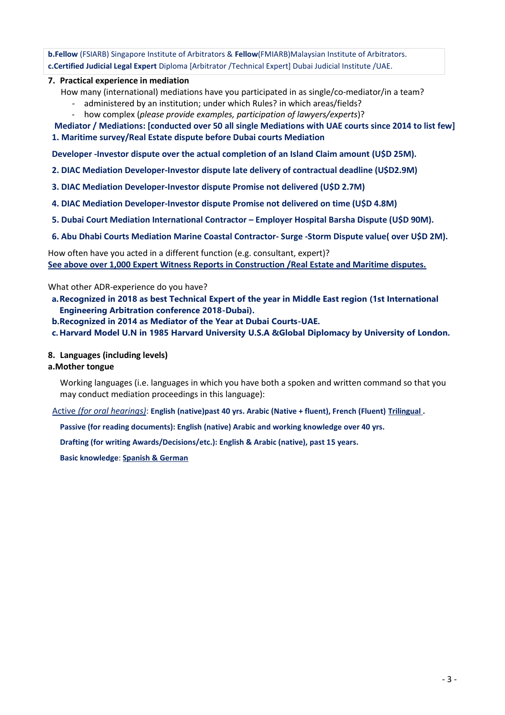**b.Fellow** (FSIARB) Singapore Institute of Arbitrators & **Fellow**(FMIARB)Malaysian Institute of Arbitrators. **c.Certified Judicial Legal Expert** Diploma [Arbitrator /Technical Expert] Dubai Judicial Institute /UAE.

### **7. Practical experience in mediation**

How many (international) mediations have you participated in as single/co-mediator/in a team?

- administered by an institution; under which Rules? in which areas/fields?
- how complex (*please provide examples, participation of lawyers/experts*)?

### **Mediator / Mediations: [conducted over 50 all single Mediations with UAE courts since 2014 to list few] 1. Maritime survey/Real Estate dispute before Dubai courts Mediation**

**Developer -Investor dispute over the actual completion of an Island Claim amount (U\$D 25M).**

- **2. DIAC Mediation Developer-Investor dispute late delivery of contractual deadline (U\$D2.9M)**
- **3. DIAC Mediation Developer-Investor dispute Promise not delivered (U\$D 2.7M)**
- **4. DIAC Mediation Developer-Investor dispute Promise not delivered on time (U\$D 4.8M)**
- **5. Dubai Court Mediation International Contractor – Employer Hospital Barsha Dispute (U\$D 90M).**
- **6. Abu Dhabi Courts Mediation Marine Coastal Contractor- Surge -Storm Dispute value( over U\$D 2M).**

How often have you acted in a different function (e.g. consultant, expert)? **See above over 1,000 Expert Witness Reports in Construction /Real Estate and Maritime disputes.**

What other ADR-experience do you have?

- **a.Recognized in 2018 as best Technical Expert of the year in Middle East region (1st International Engineering Arbitration conference 2018-Dubai).**
- **b.Recognized in 2014 as Mediator of the Year at Dubai Courts-UAE.**

**c.Harvard Model U.N in 1985 Harvard University U.S.A &Global Diplomacy by University of London.** 

### **8. Languages (including levels)**

### **a.Mother tongue**

Working languages (i.e. languages in which you have both a spoken and written command so that you may conduct mediation proceedings in this language):

Active *(for oral hearings)*: **English (native)past 40 yrs. Arabic (Native + fluent), French (Fluent) Trilingual .**

**Passive (for reading documents): English (native) Arabic and working knowledge over 40 yrs.** 

**Drafting (for writing Awards/Decisions/etc.): English & Arabic (native), past 15 years.**

**Basic knowledge**: **Spanish & German**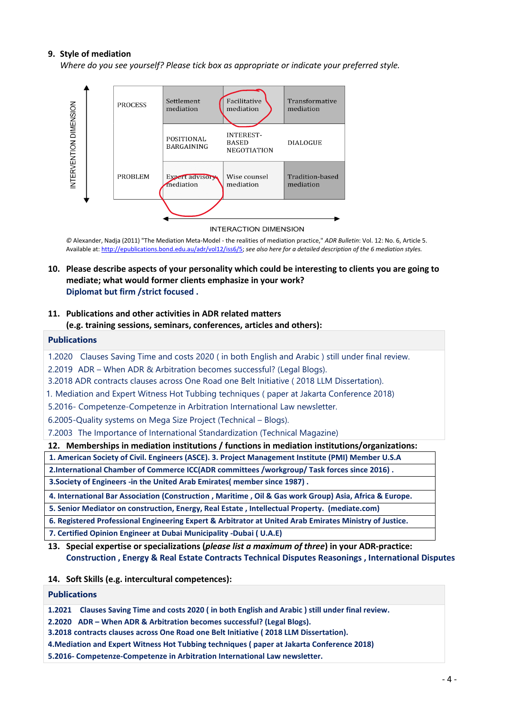### **9. Style of mediation**

*Where do you see yourself? Please tick box as appropriate or indicate your preferred style.*



#### **INTERACTION DIMENSION**

*©* Alexander, Nadja (2011) "The Mediation Meta-Model - the realities of mediation practice," *ADR Bulletin*: Vol. 12: No. 6, Article 5. Available at: [http://epublications.bond.edu.au/adr/vol12/iss6/5;](http://epublications.bond.edu.au/adr/vol12/iss6/5) *see also here for a detailed description of the 6 mediation styles.*

### **10. Please describe aspects of your personality which could be interesting to clients you are going to mediate; what would former clients emphasize in your work? Diplomat but firm /strict focused .**

### **11. Publications and other activities in ADR related matters (e.g. training sessions, seminars, conferences, articles and others):**

### **Publications**

1.2020 Clauses Saving Time and costs 2020 ( in both English and Arabic ) still under final review. 2.2019 ADR – When ADR & Arbitration becomes successful? (Legal Blogs). 3.2018 ADR contracts clauses across One Road one Belt Initiative ( 2018 LLM Dissertation). 1. Mediation and Expert Witness Hot Tubbing techniques ( paper at Jakarta Conference 2018) 5.2016- Competenze-Competenze in Arbitration International Law newsletter. 6.2005-Quality systems on Mega Size Project (Technical – Blogs). 7.2003 The Importance of International Standardization (Technical Magazine)

**12. Memberships in mediation institutions / functions in mediation institutions/organizations:**

**1. American Society of Civil. Engineers (ASCE). 3. Project Management Institute (PMI) Member U.S.A 2.International Chamber of Commerce ICC(ADR committees /workgroup/ Task forces since 2016) .**

**3.Society of Engineers -in the United Arab Emirates( member since 1987) .**

**4. International Bar Association (Construction , Maritime , Oil & Gas work Group) Asia, Africa & Europe.**

**5. Senior Mediator on construction, Energy, Real Estate , Intellectual Property. (mediate.com)**

**6. Registered Professional Engineering Expert & Arbitrator at United Arab Emirates Ministry of Justice.**

**7. Certified Opinion Engineer at Dubai Municipality -Dubai ( U.A.E)**

**13. Special expertise or specializations (***please list a maximum of three***) in your ADR-practice: Construction , Energy & Real Estate Contracts Technical Disputes Reasonings , International Disputes** 

**14. Soft Skills (e.g. intercultural competences):**

### **Publications**

**1.2021 Clauses Saving Time and costs 2020 ( in both English and Arabic ) still under final review.**

**2.2020 ADR – When ADR & Arbitration becomes successful? (Legal Blogs).**

**3.2018 contracts clauses across One Road one Belt Initiative ( 2018 LLM Dissertation).**

**4.Mediation and Expert Witness Hot Tubbing techniques ( paper at Jakarta Conference 2018)**

**5.2016- Competenze-Competenze in Arbitration International Law newsletter.**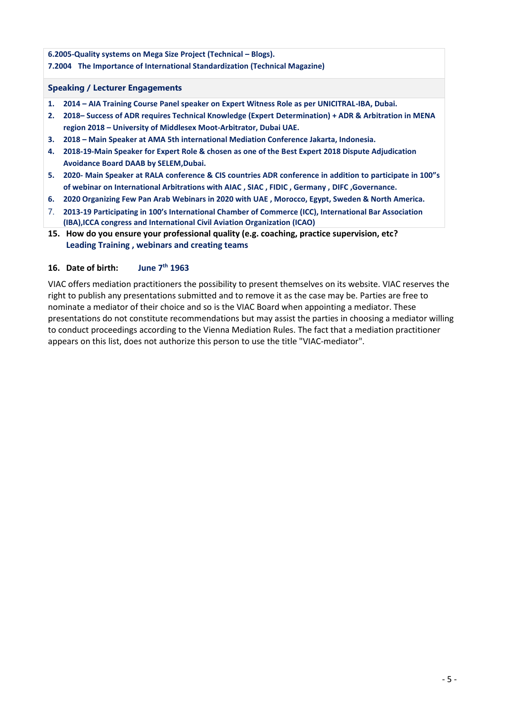## **6.2005-Quality systems on Mega Size Project (Technical – Blogs).**

### **7.2004 The Importance of International Standardization (Technical Magazine)**

### **Speaking / Lecturer Engagements**

- **1. 2014 – AIA Training Course Panel speaker on Expert Witness Role as per UNICITRAL-IBA, Dubai.**
- **2. 2018– Success of ADR requires Technical Knowledge (Expert Determination) + ADR & Arbitration in MENA region 2018 – University of Middlesex Moot-Arbitrator, Dubai UAE.**
- **3. 2018 – Main Speaker at AMA 5th international Mediation Conference Jakarta, Indonesia.**
- **4. 2018-19-Main Speaker for Expert Role & chosen as one of the Best Expert 2018 Dispute Adjudication Avoidance Board DAAB by SELEM,Dubai.**
- **5. 2020- Main Speaker at RALA conference & CIS countries ADR conference in addition to participate in 100"s of webinar on International Arbitrations with AIAC , SIAC , FIDIC , Germany , DIFC ,Governance.**
- **6. 2020 Organizing Few Pan Arab Webinars in 2020 with UAE , Morocco, Egypt, Sweden & North America.**
- 7. **2013-19 Participating in 100's International Chamber of Commerce (ICC), International Bar Association (IBA),ICCA congress and International Civil Aviation Organization (ICAO)**
- **15. How do you ensure your professional quality (e.g. coaching, practice supervision, etc? Leading Training , webinars and creating teams**

### **16. Date of birth: June 7th 1963**

VIAC offers mediation practitioners the possibility to present themselves on its website. VIAC reserves the right to publish any presentations submitted and to remove it as the case may be. Parties are free to nominate a mediator of their choice and so is the VIAC Board when appointing a mediator. These presentations do not constitute recommendations but may assist the parties in choosing a mediator willing to conduct proceedings according to the Vienna Mediation Rules. The fact that a mediation practitioner appears on this list, does not authorize this person to use the title "VIAC-mediator".